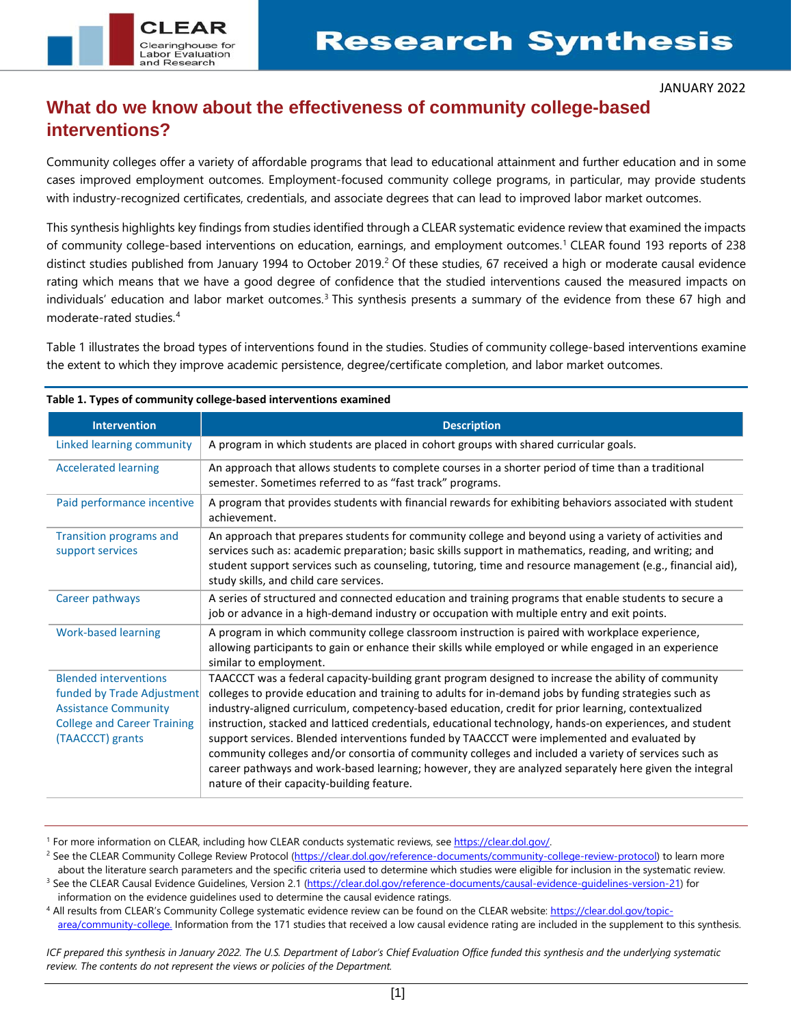

### **What do we know about the effectiveness of community college-based interventions?**

Community colleges offer a variety of affordable programs that lead to educational attainment and further education and in some cases improved employment outcomes. Employment-focused community college programs, in particular, may provide students with industry-recognized certificates, credentials, and associate degrees that can lead to improved labor market outcomes.

This synthesis highlights key findings from studies identified through a CLEAR systematic evidence review that examined the impacts of community college-based interventions on education, earnings, and employment outcomes.[1](#page-0-0) CLEAR found 193 reports of 238 distinct studies published from January 1994 to October [2](#page-0-1)019.<sup>2</sup> Of these studies, 67 received a high or moderate causal evidence rating which means that we have a good degree of confidence that the studied interventions caused the measured impacts on individuals' education and labor market outcomes.<sup>[3](#page-0-2)</sup> This synthesis presents a summary of the evidence from these 67 high and moderate-rated studies. [4](#page-0-3)

Table 1 illustrates the broad types of interventions found in the studies. Studies of community college-based interventions examine the extent to which they improve academic persistence, degree/certificate completion, and labor market outcomes.

| <b>Intervention</b>                                                                                                                                 | <b>Description</b>                                                                                                                                                                                                                                                                                                                                                                                                                                                                                                                                                                                                                                                                                                                                                                            |
|-----------------------------------------------------------------------------------------------------------------------------------------------------|-----------------------------------------------------------------------------------------------------------------------------------------------------------------------------------------------------------------------------------------------------------------------------------------------------------------------------------------------------------------------------------------------------------------------------------------------------------------------------------------------------------------------------------------------------------------------------------------------------------------------------------------------------------------------------------------------------------------------------------------------------------------------------------------------|
| Linked learning community                                                                                                                           | A program in which students are placed in cohort groups with shared curricular goals.                                                                                                                                                                                                                                                                                                                                                                                                                                                                                                                                                                                                                                                                                                         |
| <b>Accelerated learning</b>                                                                                                                         | An approach that allows students to complete courses in a shorter period of time than a traditional<br>semester. Sometimes referred to as "fast track" programs.                                                                                                                                                                                                                                                                                                                                                                                                                                                                                                                                                                                                                              |
| Paid performance incentive                                                                                                                          | A program that provides students with financial rewards for exhibiting behaviors associated with student<br>achievement.                                                                                                                                                                                                                                                                                                                                                                                                                                                                                                                                                                                                                                                                      |
| <b>Transition programs and</b><br>support services                                                                                                  | An approach that prepares students for community college and beyond using a variety of activities and<br>services such as: academic preparation; basic skills support in mathematics, reading, and writing; and<br>student support services such as counseling, tutoring, time and resource management (e.g., financial aid),<br>study skills, and child care services.                                                                                                                                                                                                                                                                                                                                                                                                                       |
| Career pathways                                                                                                                                     | A series of structured and connected education and training programs that enable students to secure a<br>job or advance in a high-demand industry or occupation with multiple entry and exit points.                                                                                                                                                                                                                                                                                                                                                                                                                                                                                                                                                                                          |
| <b>Work-based learning</b>                                                                                                                          | A program in which community college classroom instruction is paired with workplace experience,<br>allowing participants to gain or enhance their skills while employed or while engaged in an experience<br>similar to employment.                                                                                                                                                                                                                                                                                                                                                                                                                                                                                                                                                           |
| <b>Blended interventions</b><br>funded by Trade Adjustment<br><b>Assistance Community</b><br><b>College and Career Training</b><br>(TAACCCT) grants | TAACCCT was a federal capacity-building grant program designed to increase the ability of community<br>colleges to provide education and training to adults for in-demand jobs by funding strategies such as<br>industry-aligned curriculum, competency-based education, credit for prior learning, contextualized<br>instruction, stacked and latticed credentials, educational technology, hands-on experiences, and student<br>support services. Blended interventions funded by TAACCCT were implemented and evaluated by<br>community colleges and/or consortia of community colleges and included a variety of services such as<br>career pathways and work-based learning; however, they are analyzed separately here given the integral<br>nature of their capacity-building feature. |

**Table 1. Types of community college-based interventions examined**

<span id="page-0-3"></span>4 All results from CLEAR's Community College systematic evidence review can be found on the CLEAR website[: https://clear.dol.gov/topic](https://clear.dol.gov/topic-area/community-college)[area/community-college.](https://clear.dol.gov/topic-area/community-college) Information from the 171 studies that received a low causal evidence rating are included in the supplement to this synthesis.

*ICF prepared this synthesis in January 2022. The U.S. Department of Labor's Chief Evaluation Office funded this synthesis and the underlying systematic review. The contents do not represent the views or policies of the Department.*

<span id="page-0-1"></span><span id="page-0-0"></span><sup>&</sup>lt;sup>1</sup> For more information on CLEAR, including how CLEAR conducts systematic reviews, see https://clear.dol.gov/.<br><sup>2</sup> See the CLEAR Community College Review Protocol (https://clear.dol.gov/reference-documents/community-colle about the literature search parameters and the specific criteria used to determine which studies were eligible for inclusion in the systematic review.

<span id="page-0-2"></span><sup>&</sup>lt;sup>3</sup> See the CLEAR Causal Evidence Guidelines, Version 2.1 [\(https://clear.dol.gov/reference-documents/causal-evidence-guidelines-version-21\)](https://clear.dol.gov/reference-documents/causal-evidence-guidelines-version-21) for information on the evidence guidelines used to determine the causal evidence ratings.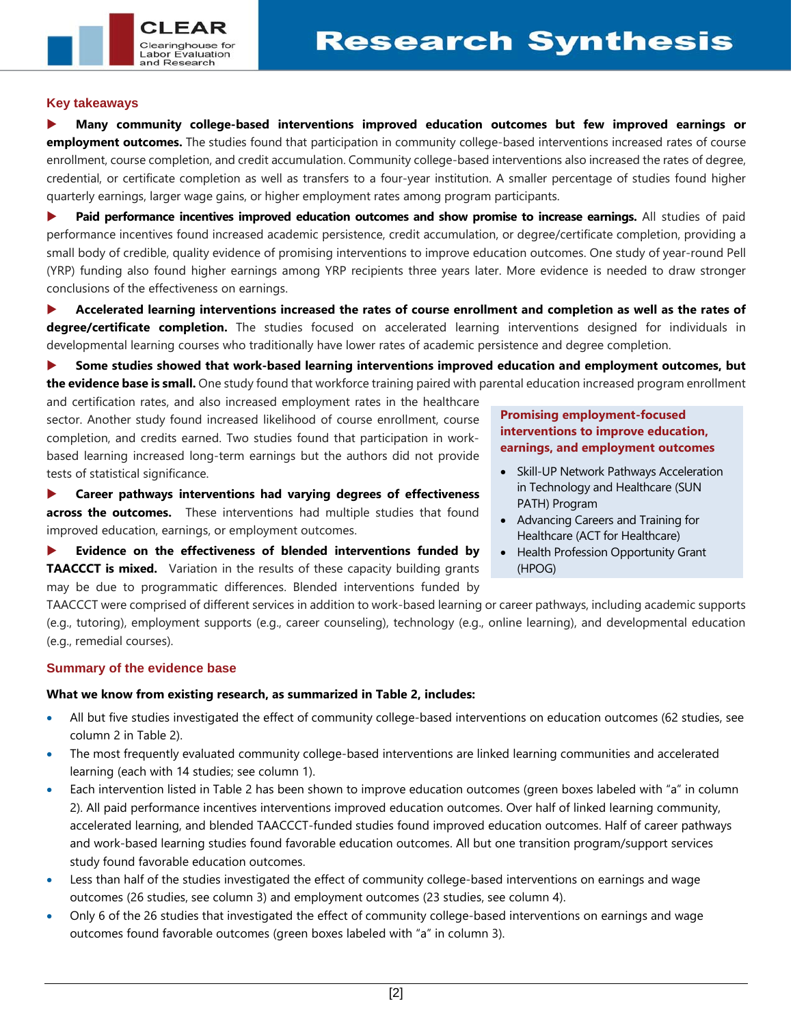### **Key takeaways**

 $CI$   $FAF$ 

Clearinghouse for Labor Evaluation and Research

 **Many community college-based interventions improved education outcomes but few improved earnings or employment outcomes.** The studies found that participation in community college-based interventions increased rates of course enrollment, course completion, and credit accumulation. Community college-based interventions also increased the rates of degree, credential, or certificate completion as well as transfers to a four-year institution. A smaller percentage of studies found higher quarterly earnings, larger wage gains, or higher employment rates among program participants.

**Paid performance incentives improved education outcomes and show promise to increase earnings.** All studies of paid performance incentives found increased academic persistence, credit accumulation, or degree/certificate completion, providing a small body of credible, quality evidence of promising interventions to improve education outcomes. One study of year-round Pell (YRP) funding also found higher earnings among YRP recipients three years later. More evidence is needed to draw stronger conclusions of the effectiveness on earnings.

 **Accelerated learning interventions increased the rates of course enrollment and completion as well as the rates of degree/certificate completion.** The studies focused on accelerated learning interventions designed for individuals in developmental learning courses who traditionally have lower rates of academic persistence and degree completion.

 **Some studies showed that work-based learning interventions improved education and employment outcomes, but the evidence base is small.** One study found that workforce training paired with parental education increased program enrollment

and certification rates, and also increased employment rates in the healthcare sector. Another study found increased likelihood of course enrollment, course completion, and credits earned. Two studies found that participation in workbased learning increased long-term earnings but the authors did not provide tests of statistical significance.

 **Career pathways interventions had varying degrees of effectiveness across the outcomes.** These interventions had multiple studies that found improved education, earnings, or employment outcomes.

 **Evidence on the effectiveness of blended interventions funded by TAACCCT is mixed.** Variation in the results of these capacity building grants may be due to programmatic differences. Blended interventions funded by

**Promising employment-focused interventions to improve education, earnings, and employment outcomes**

- Skill-UP Network Pathways Acceleration in Technology and Healthcare (SUN PATH) Program
- Advancing Careers and Training for Healthcare (ACT for Healthcare)
- Health Profession Opportunity Grant (HPOG)

TAACCCT were comprised of different services in addition to work-based learning or career pathways, including academic supports (e.g., tutoring), employment supports (e.g., career counseling), technology (e.g., online learning), and developmental education (e.g., remedial courses).

### **Summary of the evidence base**

### **What we know from existing research, as summarized in Table 2, includes:**

- All but five studies investigated the effect of community college-based interventions on education outcomes (62 studies, see column 2 in Table 2).
- The most frequently evaluated community college-based interventions are linked learning communities and accelerated learning (each with 14 studies; see column 1).
- Each intervention listed in Table 2 has been shown to improve education outcomes (green boxes labeled with "a" in column 2). All paid performance incentives interventions improved education outcomes. Over half of linked learning community, accelerated learning, and blended TAACCCT-funded studies found improved education outcomes. Half of career pathways and work-based learning studies found favorable education outcomes. All but one transition program/support services study found favorable education outcomes.
- Less than half of the studies investigated the effect of community college-based interventions on earnings and wage outcomes (26 studies, see column 3) and employment outcomes (23 studies, see column 4).
- Only 6 of the 26 studies that investigated the effect of community college-based interventions on earnings and wage outcomes found favorable outcomes (green boxes labeled with "a" in column 3).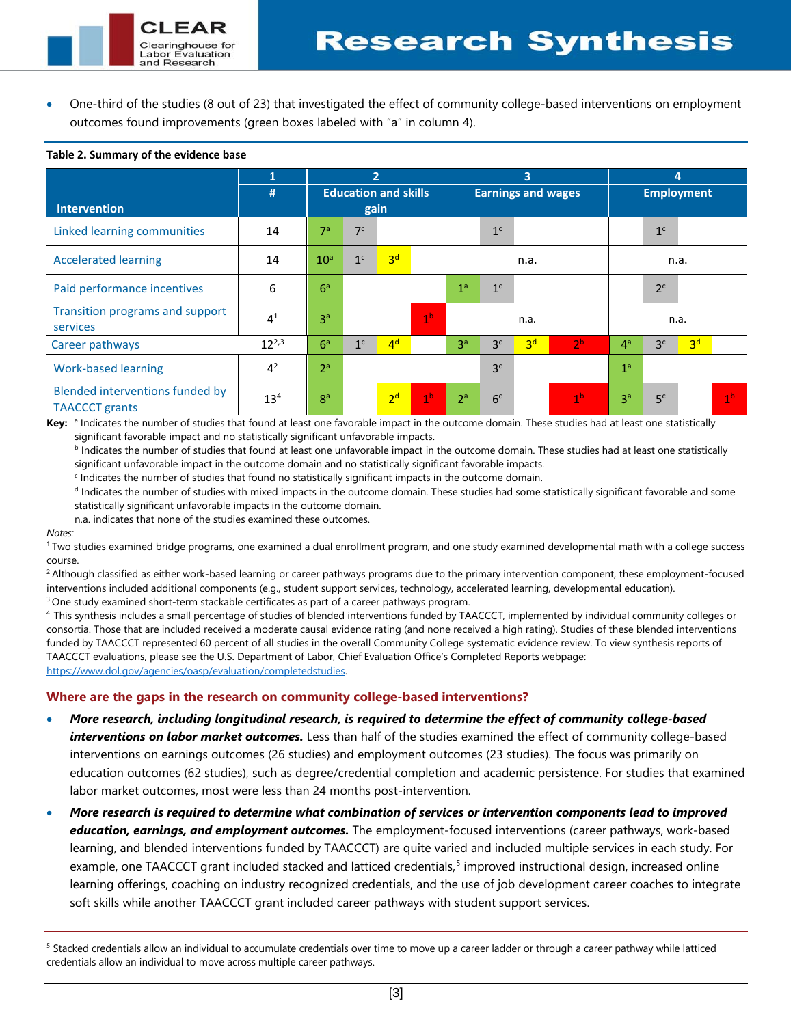• One-third of the studies (8 out of 23) that investigated the effect of community college-based interventions on employment outcomes found improvements (green boxes labeled with "a" in column 4).

|                                                          |                 | 2                                   |                |                |                | $\overline{\mathbf{3}}$<br><b>Earnings and wages</b> |                |                |                | 4<br><b>Employment</b> |                |                |                |
|----------------------------------------------------------|-----------------|-------------------------------------|----------------|----------------|----------------|------------------------------------------------------|----------------|----------------|----------------|------------------------|----------------|----------------|----------------|
| <b>Intervention</b>                                      | #               | <b>Education and skills</b><br>gain |                |                |                |                                                      |                |                |                |                        |                |                |                |
| Linked learning communities                              | 14              | 7 <sup>a</sup>                      | 7 <sup>c</sup> |                |                |                                                      | 1 <sup>c</sup> |                |                |                        | $1c$           |                |                |
| <b>Accelerated learning</b>                              | 14              | 10 <sup>a</sup>                     | 1 <sup>c</sup> | 3 <sup>d</sup> |                | n.a.                                                 |                |                |                | n.a.                   |                |                |                |
| Paid performance incentives                              | 6               | 6 <sup>a</sup>                      |                |                |                | 1 <sup>a</sup>                                       | 1 <sup>c</sup> |                |                |                        | 2 <sup>c</sup> |                |                |
| Transition programs and support<br>services              | 4 <sup>1</sup>  | 3 <sup>a</sup>                      | 1 <sup>b</sup> |                |                | n.a.                                                 |                |                |                | n.a.                   |                |                |                |
| Career pathways                                          | $12^{2,3}$      | 6 <sup>a</sup>                      | 1 <sup>c</sup> | 4 <sup>d</sup> |                | 3 <sup>a</sup>                                       | 3 <sup>c</sup> | 3 <sup>d</sup> | 2 <sup>b</sup> | 4 <sup>a</sup>         | 3 <sup>c</sup> | 3 <sup>d</sup> |                |
| <b>Work-based learning</b>                               | 4 <sup>2</sup>  | 2 <sup>a</sup>                      |                |                |                |                                                      | 3 <sup>c</sup> |                |                | 1 <sup>a</sup>         |                |                |                |
| Blended interventions funded by<br><b>TAACCCT</b> grants | 13 <sup>4</sup> | $R^a$                               |                | 2 <sup>d</sup> | 1 <sup>b</sup> | 2 <sup>a</sup>                                       | 6 <sup>c</sup> |                | 1 <sup>b</sup> | 3 <sup>a</sup>         | 5 <sup>c</sup> |                | 1 <sup>b</sup> |

#### **Table 2. Summary of the evidence base**

 $FAF$ 

Clearinghouse for Labor Evaluation and Research

Key: a Indicates the number of studies that found at least one favorable impact in the outcome domain. These studies had at least one statistically significant favorable impact and no statistically significant unfavorable impacts.

**b** Indicates the number of studies that found at least one unfavorable impact in the outcome domain. These studies had at least one statistically significant unfavorable impact in the outcome domain and no statistically significant favorable impacts.

<sup>c</sup> Indicates the number of studies that found no statistically significant impacts in the outcome domain.

<sup>d</sup> Indicates the number of studies with mixed impacts in the outcome domain. These studies had some statistically significant favorable and some statistically significant unfavorable impacts in the outcome domain.

n.a. indicates that none of the studies examined these outcomes.

*Notes:*

<sup>1</sup> Two studies examined bridge programs, one examined a dual enrollment program, and one study examined developmental math with a college success course.

<sup>2</sup> Although classified as either work-based learning or career pathways programs due to the primary intervention component, these employment-focused interventions included additional components (e.g., student support services, technology, accelerated learning, developmental education).<br><sup>3</sup> One study examined short-term stackable certificates as part of a career pathway

4 This synthesis includes a small percentage of studies of blended interventions funded by TAACCCT, implemented by individual community colleges or consortia. Those that are included received a moderate causal evidence rating (and none received a high rating). Studies of these blended interventions funded by TAACCCT represented 60 percent of all studies in the overall Community College systematic evidence review. To view synthesis reports of TAACCCT evaluations, please see the U.S. Department of Labor, Chief Evaluation Office's Completed Reports webpage: [https://www.dol.gov/agencies/oasp/evaluation/completedstudies.](https://www.dol.gov/agencies/oasp/evaluation/completedstudies) 

### **Where are the gaps in the research on community college-based interventions?**

- *More research, including longitudinal research, is required to determine the effect of community college-based interventions on labor market outcomes.* Less than half of the studies examined the effect of community college-based interventions on earnings outcomes (26 studies) and employment outcomes (23 studies). The focus was primarily on education outcomes (62 studies), such as degree/credential completion and academic persistence. For studies that examined labor market outcomes, most were less than 24 months post-intervention.
- *More research is required to determine what combination of services or intervention components lead to improved education, earnings, and employment outcomes.* The employment-focused interventions (career pathways, work-based learning, and blended interventions funded by TAACCCT) are quite varied and included multiple services in each study. For example, one TAACCCT grant included stacked and latticed credentials,<sup>[5](#page-2-0)</sup> improved instructional design, increased online learning offerings, coaching on industry recognized credentials, and the use of job development career coaches to integrate soft skills while another TAACCCT grant included career pathways with student support services.

<span id="page-2-0"></span><sup>&</sup>lt;sup>5</sup> Stacked credentials allow an individual to accumulate credentials over time to move up a career ladder or through a career pathway while latticed credentials allow an individual to move across multiple career pathways.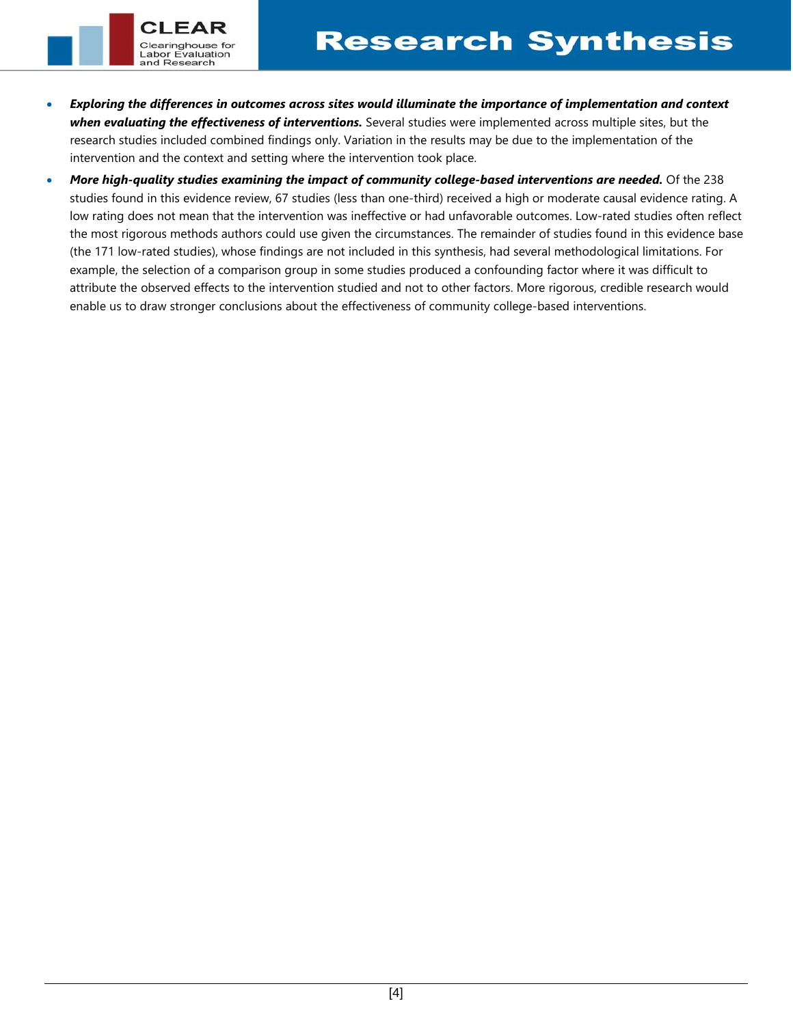• *Exploring the differences in outcomes across sites would illuminate the importance of implementation and context when evaluating the effectiveness of interventions.* Several studies were implemented across multiple sites, but the research studies included combined findings only. Variation in the results may be due to the implementation of the intervention and the context and setting where the intervention took place.

Clearinghouse for Labor Evaluation and Research

• *More high-quality studies examining the impact of community college-based interventions are needed.* Of the 238 studies found in this evidence review, 67 studies (less than one-third) received a high or moderate causal evidence rating. A low rating does not mean that the intervention was ineffective or had unfavorable outcomes. Low-rated studies often reflect the most rigorous methods authors could use given the circumstances. The remainder of studies found in this evidence base (the 171 low-rated studies), whose findings are not included in this synthesis, had several methodological limitations. For example, the selection of a comparison group in some studies produced a confounding factor where it was difficult to attribute the observed effects to the intervention studied and not to other factors. More rigorous, credible research would enable us to draw stronger conclusions about the effectiveness of community college-based interventions.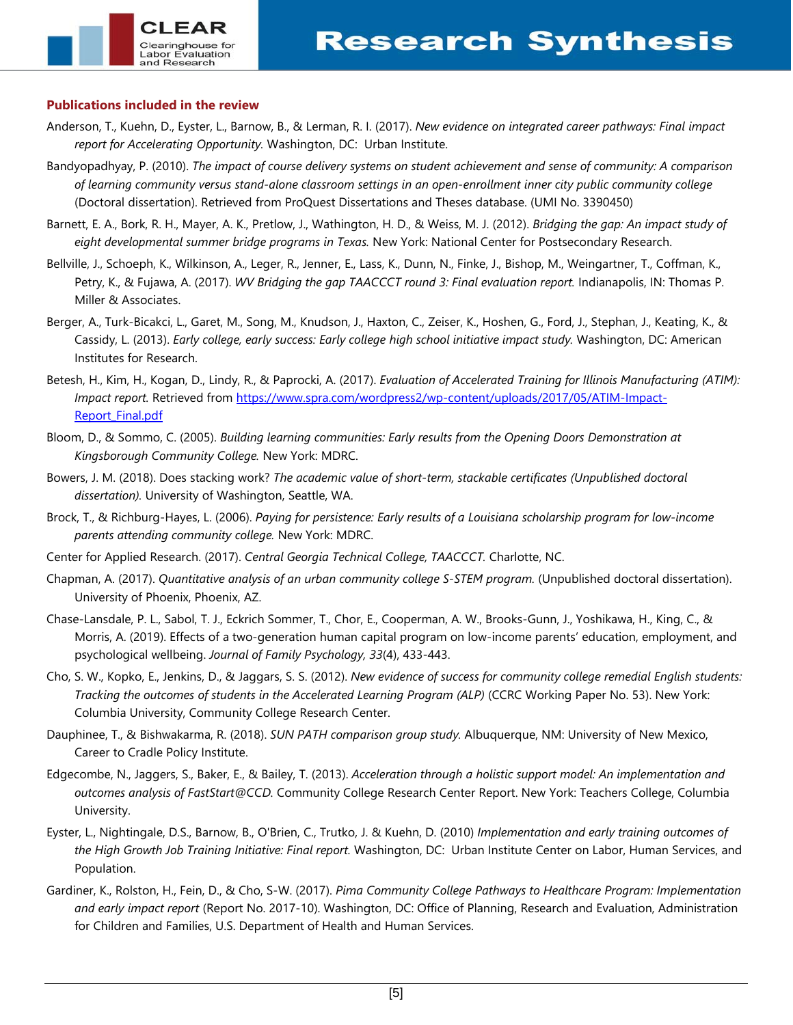### **Publications included in the review**

and Research

- Anderson, T., Kuehn, D., Eyster, L., Barnow, B., & Lerman, R. I. (2017). *New evidence on integrated career pathways: Final impact report for Accelerating Opportunity.* Washington, DC: Urban Institute.
- Bandyopadhyay, P. (2010). *The impact of course delivery systems on student achievement and sense of community: A comparison of learning community versus stand-alone classroom settings in an open-enrollment inner city public community college* (Doctoral dissertation). Retrieved from ProQuest Dissertations and Theses database. (UMI No. 3390450)
- Barnett, E. A., Bork, R. H., Mayer, A. K., Pretlow, J., Wathington, H. D., & Weiss, M. J. (2012). *Bridging the gap: An impact study of eight developmental summer bridge programs in Texas.* New York: National Center for Postsecondary Research.
- Bellville, J., Schoeph, K., Wilkinson, A., Leger, R., Jenner, E., Lass, K., Dunn, N., Finke, J., Bishop, M., Weingartner, T., Coffman, K., Petry, K., & Fujawa, A. (2017). *WV Bridging the gap TAACCCT round 3: Final evaluation report.* Indianapolis, IN: Thomas P. Miller & Associates.
- Berger, A., Turk-Bicakci, L., Garet, M., Song, M., Knudson, J., Haxton, C., Zeiser, K., Hoshen, G., Ford, J., Stephan, J., Keating, K., & Cassidy, L. (2013). *Early college, early success: Early college high school initiative impact study.* Washington, DC: American Institutes for Research.
- Betesh, H., Kim, H., Kogan, D., Lindy, R., & Paprocki, A. (2017). *Evaluation of Accelerated Training for Illinois Manufacturing (ATIM): Impact report.* Retrieved from [https://www.spra.com/wordpress2/wp-content/uploads/2017/05/ATIM-Impact-](https://www.spra.com/wordpress2/wp-content/uploads/2017/05/ATIM-Impact-Report_Final.pdf)[Report\\_Final.pdf](https://www.spra.com/wordpress2/wp-content/uploads/2017/05/ATIM-Impact-Report_Final.pdf)
- Bloom, D., & Sommo, C. (2005). *Building learning communities: Early results from the Opening Doors Demonstration at Kingsborough Community College.* New York: MDRC.
- Bowers, J. M. (2018). Does stacking work? *The academic value of short-term, stackable certificates (Unpublished doctoral dissertation).* University of Washington, Seattle, WA.
- Brock, T., & Richburg-Hayes, L. (2006). *Paying for persistence: Early results of a Louisiana scholarship program for low-income parents attending community college.* New York: MDRC.
- Center for Applied Research. (2017). *Central Georgia Technical College, TAACCCT.* Charlotte, NC.
- Chapman, A. (2017). *Quantitative analysis of an urban community college S-STEM program.* (Unpublished doctoral dissertation). University of Phoenix, Phoenix, AZ.
- Chase-Lansdale, P. L., Sabol, T. J., Eckrich Sommer, T., Chor, E., Cooperman, A. W., Brooks-Gunn, J., Yoshikawa, H., King, C., & Morris, A. (2019). Effects of a two-generation human capital program on low-income parents' education, employment, and psychological wellbeing. *Journal of Family Psychology, 33*(4), 433-443.
- Cho, S. W., Kopko, E., Jenkins, D., & Jaggars, S. S. (2012). *New evidence of success for community college remedial English students: Tracking the outcomes of students in the Accelerated Learning Program (ALP)* (CCRC Working Paper No. 53). New York: Columbia University, Community College Research Center.
- Dauphinee, T., & Bishwakarma, R. (2018). *SUN PATH comparison group study.* Albuquerque, NM: University of New Mexico, Career to Cradle Policy Institute.
- Edgecombe, N., Jaggers, S., Baker, E., & Bailey, T. (2013). *Acceleration through a holistic support model: An implementation and outcomes analysis of FastStart@CCD.* Community College Research Center Report. New York: Teachers College, Columbia University.
- Eyster, L., Nightingale, D.S., Barnow, B., O'Brien, C., Trutko, J. & Kuehn, D. (2010) *Implementation and early training outcomes of the High Growth Job Training Initiative: Final report.* Washington, DC: Urban Institute Center on Labor, Human Services, and Population.
- Gardiner, K., Rolston, H., Fein, D., & Cho, S-W. (2017). *Pima Community College Pathways to Healthcare Program: Implementation and early impact report* (Report No. 2017-10). Washington, DC: Office of Planning, Research and Evaluation, Administration for Children and Families, U.S. Department of Health and Human Services.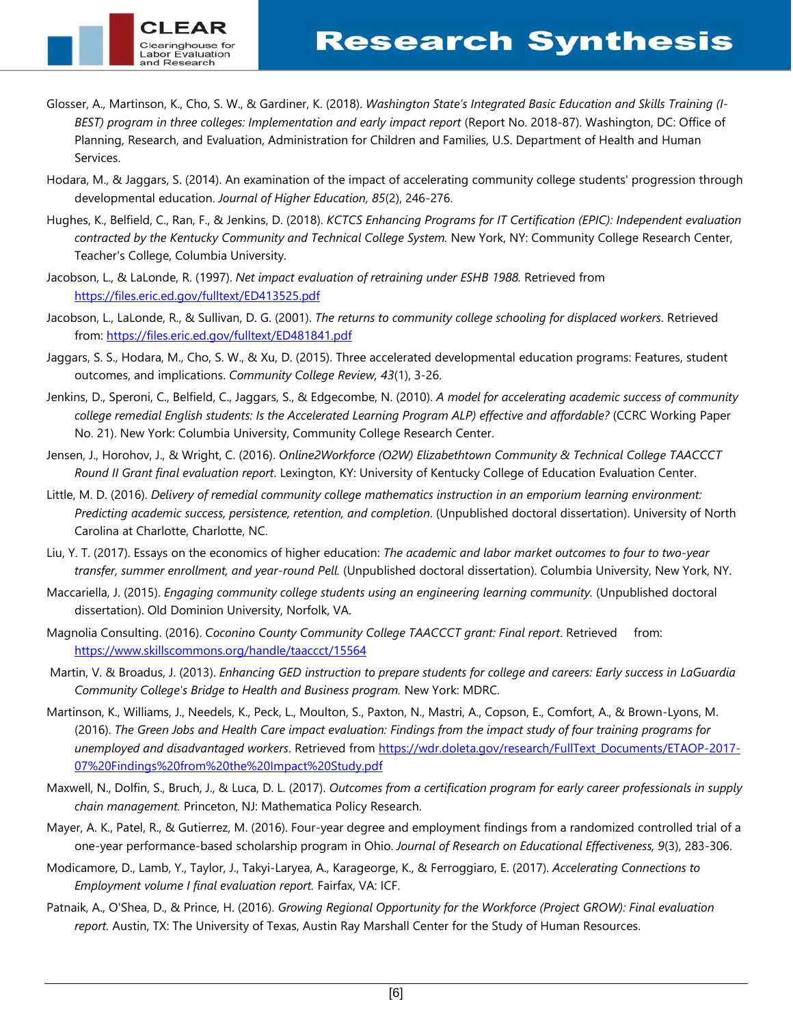- Glosser, A., Martinson, K., Cho, S. W., & Gardiner, K. (2018). *Washington State's Integrated Basic Education and Skills Training (I-BEST) program in three colleges: Implementation and early impact report (Report No. 2018-87). Washington, DC: Office of* Planning, Research, and Evaluation, Administration for Children and Families, U.S. Department of Health and Human Services.
- Hodara, M., & Jaggars, S. (2014). An examination of the impact of accelerating community college students' progression through developmental education. *Journal of Higher Education, 85*(2), 246-276.
- Hughes, K., Belfield, C., Ran, F., & Jenkins, D. (2018). *KCTCS Enhancing Programs for IT Certification (EPIC): Independent evaluation contracted by the Kentucky Community and Technical College System.* New York, NY: Community College Research Center, Teacher's College, Columbia University.
- Jacobson, L., & LaLonde, R. (1997). *Net impact evaluation of retraining under ESHB 1988.* Retrieved from <https://files.eric.ed.gov/fulltext/ED413525.pdf>

and Research

- Jacobson, L., LaLonde, R., & Sullivan, D. G. (2001). *The returns to community college schooling for displaced workers*. Retrieved from:<https://files.eric.ed.gov/fulltext/ED481841.pdf>
- Jaggars, S. S., Hodara, M., Cho, S. W., & Xu, D. (2015). Three accelerated developmental education programs: Features, student outcomes, and implications. *Community College Review, 43*(1), 3-26.
- Jenkins, D., Speroni, C., Belfield, C., Jaggars, S., & Edgecombe, N. (2010). *A model for accelerating academic success of community college remedial English students: Is the Accelerated Learning Program ALP) effective and affordable?* (CCRC Working Paper No. 21). New York: Columbia University, Community College Research Center.
- Jensen, J., Horohov, J., & Wright, C. (2016). *Online2Workforce (O2W) Elizabethtown Community & Technical College TAACCCT Round II Grant final evaluation report*. Lexington, KY: University of Kentucky College of Education Evaluation Center.
- Little, M. D. (2016). *Delivery of remedial community college mathematics instruction in an emporium learning environment: Predicting academic success, persistence, retention, and completion*. (Unpublished doctoral dissertation). University of North Carolina at Charlotte, Charlotte, NC.
- Liu, Y. T. (2017). Essays on the economics of higher education: *The academic and labor market outcomes to four to two-year transfer, summer enrollment, and year-round Pell.* (Unpublished doctoral dissertation). Columbia University, New York, NY.
- Maccariella, J. (2015). *Engaging community college students using an engineering learning community.* (Unpublished doctoral dissertation). Old Dominion University, Norfolk, VA.
- Magnolia Consulting. (2016). *Coconino County Community College TAACCCT grant: Final report*. Retrieved from: <https://www.skillscommons.org/handle/taaccct/15564>
- Martin, V. & Broadus, J. (2013). *Enhancing GED instruction to prepare students for college and careers: Early success in LaGuardia Community College's Bridge to Health and Business program.* New York: MDRC.
- Martinson, K., Williams, J., Needels, K., Peck, L., Moulton, S., Paxton, N., Mastri, A., Copson, E., Comfort, A., & Brown-Lyons, M. (2016). *The Green Jobs and Health Care impact evaluation: Findings from the impact study of four training programs for unemployed and disadvantaged workers*. Retrieved from [https://wdr.doleta.gov/research/FullText\\_Documents/ETAOP-2017-](https://wdr.doleta.gov/research/FullText_Documents/ETAOP-2017-07%20Findings%20from%20the%20Impact%20Study.pdf) [07%20Findings%20from%20the%20Impact%20Study.pdf](https://wdr.doleta.gov/research/FullText_Documents/ETAOP-2017-07%20Findings%20from%20the%20Impact%20Study.pdf)
- Maxwell, N., Dolfin, S., Bruch, J., & Luca, D. L. (2017). *Outcomes from a certification program for early career professionals in supply chain management.* Princeton, NJ: Mathematica Policy Research.
- Mayer, A. K., Patel, R., & Gutierrez, M. (2016). Four-year degree and employment findings from a randomized controlled trial of a one-year performance-based scholarship program in Ohio. *Journal of Research on Educational Effectiveness, 9*(3), 283-306.
- Modicamore, D., Lamb, Y., Taylor, J., Takyi-Laryea, A., Karageorge, K., & Ferroggiaro, E. (2017). *Accelerating Connections to Employment volume I final evaluation report.* Fairfax, VA: ICF.
- Patnaik, A., O'Shea, D., & Prince, H. (2016). *Growing Regional Opportunity for the Workforce (Project GROW): Final evaluation report.* Austin, TX: The University of Texas, Austin Ray Marshall Center for the Study of Human Resources.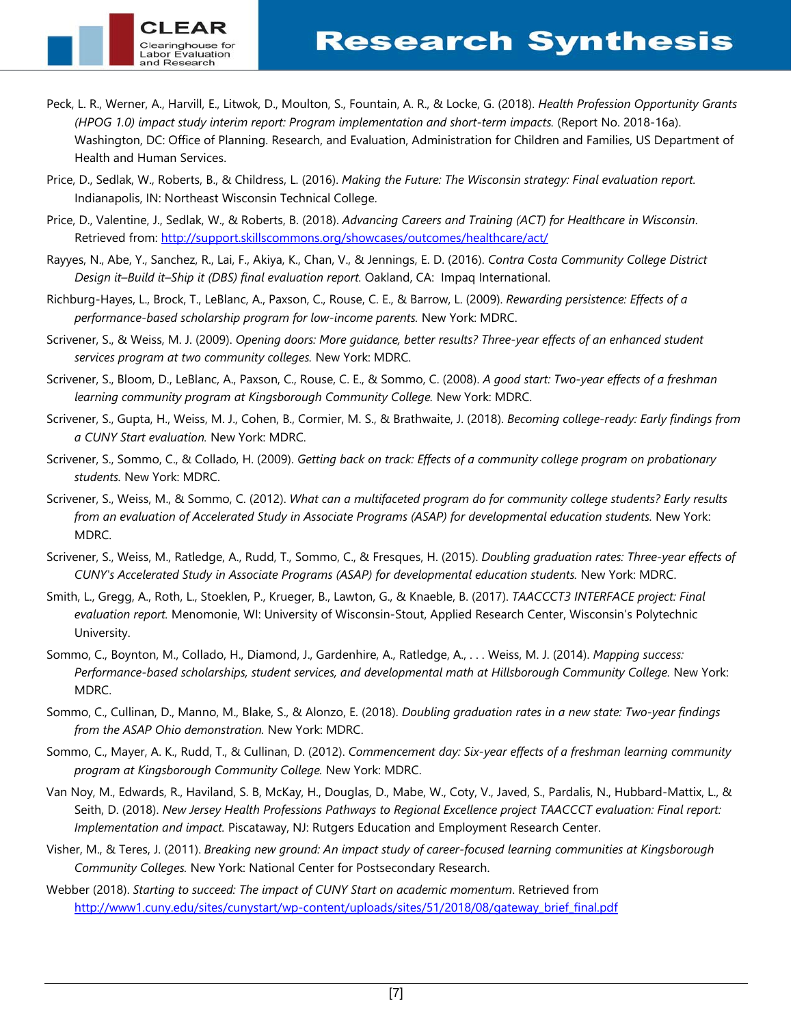- Peck, L. R., Werner, A., Harvill, E., Litwok, D., Moulton, S., Fountain, A. R., & Locke, G. (2018). *Health Profession Opportunity Grants (HPOG 1.0) impact study interim report: Program implementation and short-term impacts.* (Report No. 2018-16a). Washington, DC: Office of Planning. Research, and Evaluation, Administration for Children and Families, US Department of Health and Human Services.
- Price, D., Sedlak, W., Roberts, B., & Childress, L. (2016). *Making the Future: The Wisconsin strategy: Final evaluation report.* Indianapolis, IN: Northeast Wisconsin Technical College.

and Research

- Price, D., Valentine, J., Sedlak, W., & Roberts, B. (2018). *Advancing Careers and Training (ACT) for Healthcare in Wisconsin*. Retrieved from:<http://support.skillscommons.org/showcases/outcomes/healthcare/act/>
- Rayyes, N., Abe, Y., Sanchez, R., Lai, F., Akiya, K., Chan, V., & Jennings, E. D. (2016). *Contra Costa Community College District Design it–Build it–Ship it (DBS) final evaluation report.* Oakland, CA: Impaq International.
- Richburg-Hayes, L., Brock, T., LeBlanc, A., Paxson, C., Rouse, C. E., & Barrow, L. (2009). *Rewarding persistence: Effects of a performance-based scholarship program for low-income parents.* New York: MDRC.
- Scrivener, S., & Weiss, M. J. (2009). *Opening doors: More guidance, better results? Three-year effects of an enhanced student services program at two community colleges.* New York: MDRC.
- Scrivener, S., Bloom, D., LeBlanc, A., Paxson, C., Rouse, C. E., & Sommo, C. (2008). *A good start: Two-year effects of a freshman learning community program at Kingsborough Community College.* New York: MDRC.
- Scrivener, S., Gupta, H., Weiss, M. J., Cohen, B., Cormier, M. S., & Brathwaite, J. (2018). *Becoming college-ready: Early findings from a CUNY Start evaluation.* New York: MDRC.
- Scrivener, S., Sommo, C., & Collado, H. (2009). *Getting back on track: Effects of a community college program on probationary students.* New York: MDRC.
- Scrivener, S., Weiss, M., & Sommo, C. (2012). *What can a multifaceted program do for community college students? Early results from an evaluation of Accelerated Study in Associate Programs (ASAP) for developmental education students.* New York: MDRC.
- Scrivener, S., Weiss, M., Ratledge, A., Rudd, T., Sommo, C., & Fresques, H. (2015). *Doubling graduation rates: Three-year effects of CUNY's Accelerated Study in Associate Programs (ASAP) for developmental education students.* New York: MDRC.
- Smith, L., Gregg, A., Roth, L., Stoeklen, P., Krueger, B., Lawton, G., & Knaeble, B. (2017). *TAACCCT3 INTERFACE project: Final evaluation report.* Menomonie, WI: University of Wisconsin-Stout, Applied Research Center, Wisconsin's Polytechnic University.
- Sommo, C., Boynton, M., Collado, H., Diamond, J., Gardenhire, A., Ratledge, A., . . . Weiss, M. J. (2014). *Mapping success: Performance-based scholarships, student services, and developmental math at Hillsborough Community College.* New York: MDRC.
- Sommo, C., Cullinan, D., Manno, M., Blake, S., & Alonzo, E. (2018). *Doubling graduation rates in a new state: Two-year findings from the ASAP Ohio demonstration.* New York: MDRC.
- Sommo, C., Mayer, A. K., Rudd, T., & Cullinan, D. (2012). *Commencement day: Six-year effects of a freshman learning community program at Kingsborough Community College.* New York: MDRC.
- Van Noy, M., Edwards, R., Haviland, S. B, McKay, H., Douglas, D., Mabe, W., Coty, V., Javed, S., Pardalis, N., Hubbard-Mattix, L., & Seith, D. (2018). *New Jersey Health Professions Pathways to Regional Excellence project TAACCCT evaluation: Final report: Implementation and impact.* Piscataway, NJ: Rutgers Education and Employment Research Center.
- Visher, M., & Teres, J. (2011). *Breaking new ground: An impact study of career-focused learning communities at Kingsborough Community Colleges.* New York: National Center for Postsecondary Research.
- Webber (2018). *Starting to succeed: The impact of CUNY Start on academic momentum*. Retrieved from [http://www1.cuny.edu/sites/cunystart/wp-content/uploads/sites/51/2018/08/gateway\\_brief\\_final.pdf](http://www1.cuny.edu/sites/cunystart/wp-content/uploads/sites/51/2018/08/gateway_brief_final.pdf)